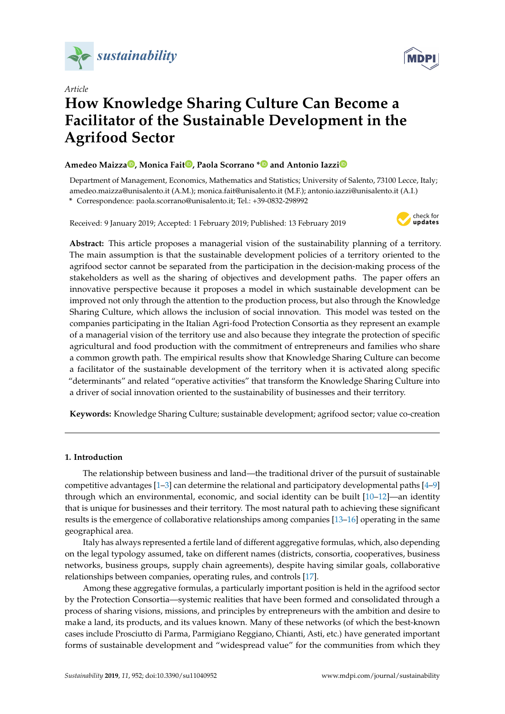





# **How Knowledge Sharing Culture Can Become a Facilitator of the Sustainable Development in the Agrifood Sector**

# **Amedeo Maizz[a](https://orcid.org/0000-0001-8350-8026) , Monica Fai[t](https://orcid.org/0000-0003-2448-3839) , Paola Scorrano [\\*](https://orcid.org/0000-0002-7964-9931) and Antonio Iazz[i](https://orcid.org/0000-0002-1493-9903)**

Department of Management, Economics, Mathematics and Statistics; University of Salento, 73100 Lecce, Italy; amedeo.maizza@unisalento.it (A.M.); monica.fait@unisalento.it (M.F.); antonio.iazzi@unisalento.it (A.I.)

**\*** Correspondence: paola.scorrano@unisalento.it; Tel.: +39-0832-298992

Received: 9 January 2019; Accepted: 1 February 2019; Published: 13 February 2019



**Abstract:** This article proposes a managerial vision of the sustainability planning of a territory. The main assumption is that the sustainable development policies of a territory oriented to the agrifood sector cannot be separated from the participation in the decision-making process of the stakeholders as well as the sharing of objectives and development paths. The paper offers an innovative perspective because it proposes a model in which sustainable development can be improved not only through the attention to the production process, but also through the Knowledge Sharing Culture, which allows the inclusion of social innovation. This model was tested on the companies participating in the Italian Agri-food Protection Consortia as they represent an example of a managerial vision of the territory use and also because they integrate the protection of specific agricultural and food production with the commitment of entrepreneurs and families who share a common growth path. The empirical results show that Knowledge Sharing Culture can become a facilitator of the sustainable development of the territory when it is activated along specific "determinants" and related "operative activities" that transform the Knowledge Sharing Culture into a driver of social innovation oriented to the sustainability of businesses and their territory.

**Keywords:** Knowledge Sharing Culture; sustainable development; agrifood sector; value co-creation

## <span id="page-0-0"></span>**1. Introduction**

The relationship between business and land—the traditional driver of the pursuit of sustainable competitive advantages  $[1-3]$  $[1-3]$  can determine the relational and participatory developmental paths  $[4-9]$  $[4-9]$ through which an environmental, economic, and social identity can be built [\[10](#page-11-4)[–12\]](#page-11-5)—an identity that is unique for businesses and their territory. The most natural path to achieving these significant results is the emergence of collaborative relationships among companies [\[13](#page-11-6)[–16\]](#page-12-0) operating in the same geographical area.

Italy has always represented a fertile land of different aggregative formulas, which, also depending on the legal typology assumed, take on different names (districts, consortia, cooperatives, business networks, business groups, supply chain agreements), despite having similar goals, collaborative relationships between companies, operating rules, and controls [\[17\]](#page-12-1).

Among these aggregative formulas, a particularly important position is held in the agrifood sector by the Protection Consortia—systemic realities that have been formed and consolidated through a process of sharing visions, missions, and principles by entrepreneurs with the ambition and desire to make a land, its products, and its values known. Many of these networks (of which the best-known cases include Prosciutto di Parma, Parmigiano Reggiano, Chianti, Asti, etc.) have generated important forms of sustainable development and "widespread value" for the communities from which they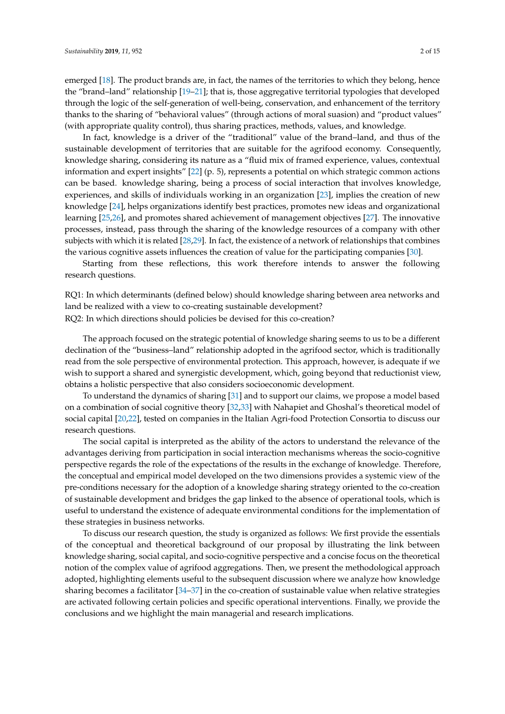emerged [\[18\]](#page-12-2). The product brands are, in fact, the names of the territories to which they belong, hence the "brand–land" relationship [\[19–](#page-12-3)[21\]](#page-12-4); that is, those aggregative territorial typologies that developed through the logic of the self-generation of well-being, conservation, and enhancement of the territory thanks to the sharing of "behavioral values" (through actions of moral suasion) and "product values" (with appropriate quality control), thus sharing practices, methods, values, and knowledge.

In fact, knowledge is a driver of the "traditional" value of the brand–land, and thus of the sustainable development of territories that are suitable for the agrifood economy. Consequently, knowledge sharing, considering its nature as a "fluid mix of framed experience, values, contextual information and expert insights" [\[22\]](#page-12-5) (p. 5), represents a potential on which strategic common actions can be based. knowledge sharing, being a process of social interaction that involves knowledge, experiences, and skills of individuals working in an organization [\[23\]](#page-12-6), implies the creation of new knowledge [\[24\]](#page-12-7), helps organizations identify best practices, promotes new ideas and organizational learning [\[25](#page-12-8)[,26\]](#page-12-9), and promotes shared achievement of management objectives [\[27\]](#page-12-10). The innovative processes, instead, pass through the sharing of the knowledge resources of a company with other subjects with which it is related [\[28](#page-12-11)[,29\]](#page-12-12). In fact, the existence of a network of relationships that combines the various cognitive assets influences the creation of value for the participating companies [\[30\]](#page-12-13).

Starting from these reflections, this work therefore intends to answer the following research questions.

RQ1: In which determinants (defined below) should knowledge sharing between area networks and land be realized with a view to co-creating sustainable development?

RQ2: In which directions should policies be devised for this co-creation?

The approach focused on the strategic potential of knowledge sharing seems to us to be a different declination of the "business–land" relationship adopted in the agrifood sector, which is traditionally read from the sole perspective of environmental protection. This approach, however, is adequate if we wish to support a shared and synergistic development, which, going beyond that reductionist view, obtains a holistic perspective that also considers socioeconomic development.

To understand the dynamics of sharing [\[31\]](#page-12-14) and to support our claims, we propose a model based on a combination of social cognitive theory [\[32,](#page-12-15)[33\]](#page-12-16) with Nahapiet and Ghoshal's theoretical model of social capital [\[20](#page-12-17)[,22\]](#page-12-5), tested on companies in the Italian Agri-food Protection Consortia to discuss our research questions.

The social capital is interpreted as the ability of the actors to understand the relevance of the advantages deriving from participation in social interaction mechanisms whereas the socio-cognitive perspective regards the role of the expectations of the results in the exchange of knowledge. Therefore, the conceptual and empirical model developed on the two dimensions provides a systemic view of the pre-conditions necessary for the adoption of a knowledge sharing strategy oriented to the co-creation of sustainable development and bridges the gap linked to the absence of operational tools, which is useful to understand the existence of adequate environmental conditions for the implementation of these strategies in business networks.

To discuss our research question, the study is organized as follows: We first provide the essentials of the conceptual and theoretical background of our proposal by illustrating the link between knowledge sharing, social capital, and socio-cognitive perspective and a concise focus on the theoretical notion of the complex value of agrifood aggregations. Then, we present the methodological approach adopted, highlighting elements useful to the subsequent discussion where we analyze how knowledge sharing becomes a facilitator [\[34](#page-12-18)[–37\]](#page-12-19) in the co-creation of sustainable value when relative strategies are activated following certain policies and specific operational interventions. Finally, we provide the conclusions and we highlight the main managerial and research implications.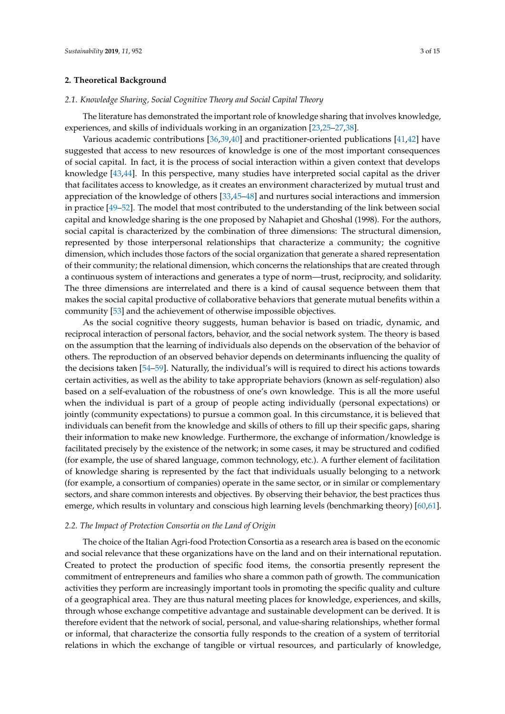#### **2. Theoretical Background**

### <span id="page-2-1"></span>*2.1. Knowledge Sharing, Social Cognitive Theory and Social Capital Theory*

The literature has demonstrated the important role of knowledge sharing that involves knowledge, experiences, and skills of individuals working in an organization [\[23,](#page-12-6)[25](#page-12-8)[–27,](#page-12-10)[38\]](#page-12-20).

Various academic contributions [\[36](#page-12-21)[,39](#page-12-22)[,40\]](#page-13-0) and practitioner-oriented publications [\[41,](#page-13-1)[42\]](#page-13-2) have suggested that access to new resources of knowledge is one of the most important consequences of social capital. In fact, it is the process of social interaction within a given context that develops knowledge [\[43](#page-13-3)[,44\]](#page-13-4). In this perspective, many studies have interpreted social capital as the driver that facilitates access to knowledge, as it creates an environment characterized by mutual trust and appreciation of the knowledge of others [\[33](#page-12-16)[,45–](#page-13-5)[48\]](#page-13-6) and nurtures social interactions and immersion in practice [\[49](#page-13-7)[–52\]](#page-13-8). The model that most contributed to the understanding of the link between social capital and knowledge sharing is the one proposed by Nahapiet and Ghoshal (1998). For the authors, social capital is characterized by the combination of three dimensions: The structural dimension, represented by those interpersonal relationships that characterize a community; the cognitive dimension, which includes those factors of the social organization that generate a shared representation of their community; the relational dimension, which concerns the relationships that are created through a continuous system of interactions and generates a type of norm—trust, reciprocity, and solidarity. The three dimensions are interrelated and there is a kind of causal sequence between them that makes the social capital productive of collaborative behaviors that generate mutual benefits within a community [\[53\]](#page-13-9) and the achievement of otherwise impossible objectives.

As the social cognitive theory suggests, human behavior is based on triadic, dynamic, and reciprocal interaction of personal factors, behavior, and the social network system. The theory is based on the assumption that the learning of individuals also depends on the observation of the behavior of others. The reproduction of an observed behavior depends on determinants influencing the quality of the decisions taken [\[54–](#page-13-10)[59\]](#page-13-11). Naturally, the individual's will is required to direct his actions towards certain activities, as well as the ability to take appropriate behaviors (known as self-regulation) also based on a self-evaluation of the robustness of one's own knowledge. This is all the more useful when the individual is part of a group of people acting individually (personal expectations) or jointly (community expectations) to pursue a common goal. In this circumstance, it is believed that individuals can benefit from the knowledge and skills of others to fill up their specific gaps, sharing their information to make new knowledge. Furthermore, the exchange of information/knowledge is facilitated precisely by the existence of the network; in some cases, it may be structured and codified (for example, the use of shared language, common technology, etc.). A further element of facilitation of knowledge sharing is represented by the fact that individuals usually belonging to a network (for example, a consortium of companies) operate in the same sector, or in similar or complementary sectors, and share common interests and objectives. By observing their behavior, the best practices thus emerge, which results in voluntary and conscious high learning levels (benchmarking theory) [\[60,](#page-13-12)[61\]](#page-13-13).

#### <span id="page-2-0"></span>*2.2. The Impact of Protection Consortia on the Land of Origin*

The choice of the Italian Agri-food Protection Consortia as a research area is based on the economic and social relevance that these organizations have on the land and on their international reputation. Created to protect the production of specific food items, the consortia presently represent the commitment of entrepreneurs and families who share a common path of growth. The communication activities they perform are increasingly important tools in promoting the specific quality and culture of a geographical area. They are thus natural meeting places for knowledge, experiences, and skills, through whose exchange competitive advantage and sustainable development can be derived. It is therefore evident that the network of social, personal, and value-sharing relationships, whether formal or informal, that characterize the consortia fully responds to the creation of a system of territorial relations in which the exchange of tangible or virtual resources, and particularly of knowledge,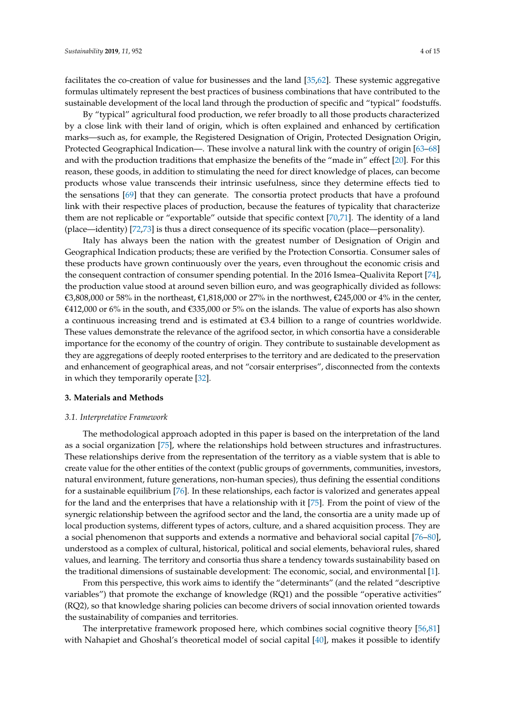facilitates the co-creation of value for businesses and the land [\[35](#page-12-23)[,62\]](#page-13-14). These systemic aggregative formulas ultimately represent the best practices of business combinations that have contributed to the sustainable development of the local land through the production of specific and "typical" foodstuffs.

By "typical" agricultural food production, we refer broadly to all those products characterized by a close link with their land of origin, which is often explained and enhanced by certification marks—such as, for example, the Registered Designation of Origin, Protected Designation Origin, Protected Geographical Indication—. These involve a natural link with the country of origin [\[63](#page-13-15)[–68\]](#page-14-0) and with the production traditions that emphasize the benefits of the "made in" effect [\[20\]](#page-12-17). For this reason, these goods, in addition to stimulating the need for direct knowledge of places, can become products whose value transcends their intrinsic usefulness, since they determine effects tied to the sensations [\[69\]](#page-14-1) that they can generate. The consortia protect products that have a profound link with their respective places of production, because the features of typicality that characterize them are not replicable or "exportable" outside that specific context [\[70](#page-14-2)[,71\]](#page-14-3). The identity of a land (place—identity) [\[72,](#page-14-4)[73\]](#page-14-5) is thus a direct consequence of its specific vocation (place—personality).

Italy has always been the nation with the greatest number of Designation of Origin and Geographical Indication products; these are verified by the Protection Consortia. Consumer sales of these products have grown continuously over the years, even throughout the economic crisis and the consequent contraction of consumer spending potential. In the 2016 Ismea–Qualivita Report [\[74\]](#page-14-6), the production value stood at around seven billion euro, and was geographically divided as follows: €3,808,000 or 58% in the northeast, €1,818,000 or 27% in the northwest, €245,000 or 4% in the center, €412,000 or 6% in the south, and €335,000 or 5% on the islands. The value of exports has also shown a continuous increasing trend and is estimated at  $63.4$  billion to a range of countries worldwide. These values demonstrate the relevance of the agrifood sector, in which consortia have a considerable importance for the economy of the country of origin. They contribute to sustainable development as they are aggregations of deeply rooted enterprises to the territory and are dedicated to the preservation and enhancement of geographical areas, and not "corsair enterprises", disconnected from the contexts in which they temporarily operate [\[32\]](#page-12-15).

#### <span id="page-3-0"></span>**3. Materials and Methods**

#### *3.1. Interpretative Framework*

The methodological approach adopted in this paper is based on the interpretation of the land as a social organization [\[75\]](#page-14-7), where the relationships hold between structures and infrastructures. These relationships derive from the representation of the territory as a viable system that is able to create value for the other entities of the context (public groups of governments, communities, investors, natural environment, future generations, non-human species), thus defining the essential conditions for a sustainable equilibrium [\[76\]](#page-14-8). In these relationships, each factor is valorized and generates appeal for the land and the enterprises that have a relationship with it [\[75\]](#page-14-7). From the point of view of the synergic relationship between the agrifood sector and the land, the consortia are a unity made up of local production systems, different types of actors, culture, and a shared acquisition process. They are a social phenomenon that supports and extends a normative and behavioral social capital [\[76](#page-14-8)[–80\]](#page-14-9), understood as a complex of cultural, historical, political and social elements, behavioral rules, shared values, and learning. The territory and consortia thus share a tendency towards sustainability based on the traditional dimensions of sustainable development: The economic, social, and environmental [\[1\]](#page-11-0).

From this perspective, this work aims to identify the "determinants" (and the related "descriptive variables") that promote the exchange of knowledge (RQ1) and the possible "operative activities" (RQ2), so that knowledge sharing policies can become drivers of social innovation oriented towards the sustainability of companies and territories.

The interpretative framework proposed here, which combines social cognitive theory [\[56](#page-13-16)[,81\]](#page-14-10) with Nahapiet and Ghoshal's theoretical model of social capital [\[40\]](#page-13-0), makes it possible to identify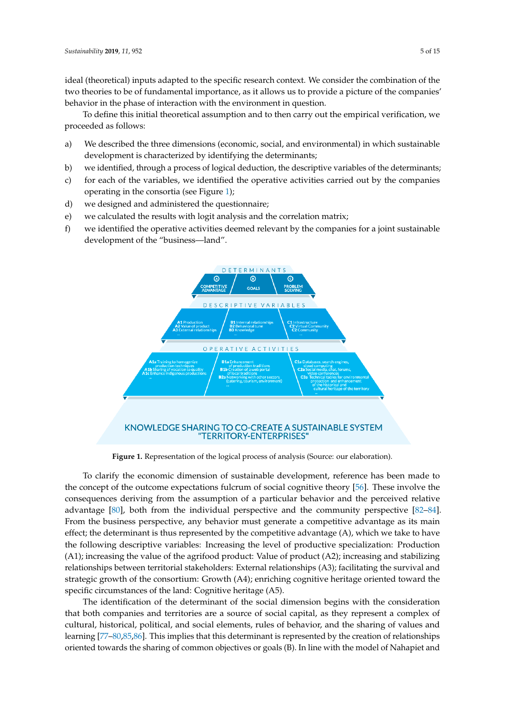ideal (theoretical) inputs adapted to the specific research context. We consider the combination of the two theories to be of fundamental importance, as it allows us to provide a picture of the companies' behavior in the phase of interaction with the environment in question.

To define this initial theoretical assumption and to then carry out the empirical verification, we proceeded as follows: **The empirical theoretical assumption** and to the empirical verification, we have expected as follows:

- a) We described the three dimensions (economic, social, and environmental) in which sustainable development is characterized by identifying the determinants; development is characterized by identifying the determinants;
- b) we identified, through a process of logical deduction, the descriptive variables of the determinants;  $\theta$  we identified, through a process of logical deduction, the descriptive variables of the determinants,
- c) for each of the variables, we identified the operative activities carried out by the companies operating in the consortia (see Figure [1\)](#page-4-0);  $\frac{d}{dt}$
- d) we designed and administered the questionnaire;
- e) we calculated the results with logit analysis and the correlation matrix;
- <span id="page-4-0"></span>f) we identified the operative activities deemed relevant by the companies for a joint sustainable development of the "business—land".



**Figure 1.** Representation of the logical process of analysis (Source: our elaboration). **Figure 1.** Representation of the logical process of analysis (Source: our elaboration).

the concept of the outcome expectations fulcrum of social cognitive theory [\[56\]](#page-13-16). These involve the consequences deriving from the assumption of a particular behavior and the perceived relative advantage [\[80\]](#page-14-9), both from the individual perspective and the community perspective [\[82–](#page-14-11)[84\]](#page-14-12). From the business perspective, any behavior must generate a competitive advantage as its main effect; the determinant is thus represented by the competitive advantage (A), which we take to have the following descriptive variables: Increasing the level of productive specialization: Production (A1); increasing the value of the agrifood product: Value of product (A2); increasing and stabilizing relationships between territorial stakeholders: External relationships (A3); facilitating the survival and strategic growth of the consortium: Growth (A4); enriching cognitive heritage oriented toward the specific circumstances of the land: Cognitive heritage  $(A5)$ . To clarify the economic dimension of sustainable development, reference has been made to

The identification of the determinant of the social dimension begins with the consideration that both companies and territories are a source of social capital, as they represent a complex of cultural, historical, political, and social elements, rules of behavior, and the sharing of values and learning [\[77–](#page-14-13)[80,](#page-14-9)[85,](#page-14-14)[86\]](#page-14-15). This implies that this determinant is represented by the creation of relationships oriented towards the sharing of common objectives or goals (B). In line with the model of Nahapiet and oriented towards the sharing of common objectives or goals ( $B$ ). In line with the model of  $N$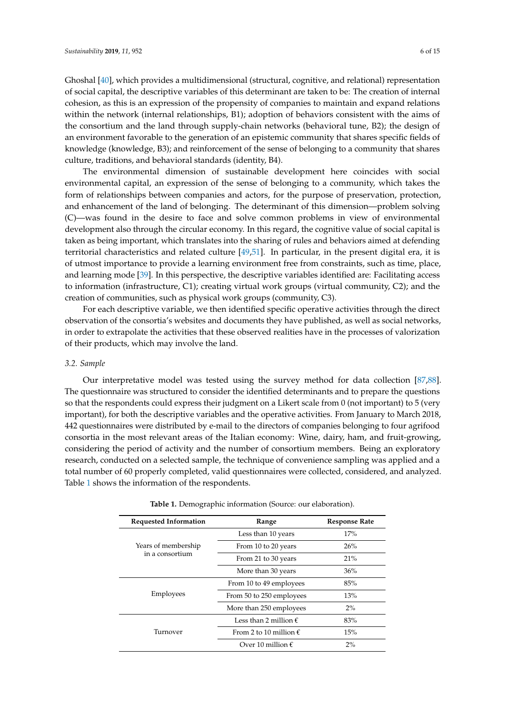Ghoshal [\[40\]](#page-13-0), which provides a multidimensional (structural, cognitive, and relational) representation of social capital, the descriptive variables of this determinant are taken to be: The creation of internal cohesion, as this is an expression of the propensity of companies to maintain and expand relations within the network (internal relationships, B1); adoption of behaviors consistent with the aims of the consortium and the land through supply-chain networks (behavioral tune, B2); the design of an environment favorable to the generation of an epistemic community that shares specific fields of knowledge (knowledge, B3); and reinforcement of the sense of belonging to a community that shares culture, traditions, and behavioral standards (identity, B4).

The environmental dimension of sustainable development here coincides with social environmental capital, an expression of the sense of belonging to a community, which takes the form of relationships between companies and actors, for the purpose of preservation, protection, and enhancement of the land of belonging. The determinant of this dimension—problem solving (C)—was found in the desire to face and solve common problems in view of environmental development also through the circular economy. In this regard, the cognitive value of social capital is taken as being important, which translates into the sharing of rules and behaviors aimed at defending territorial characteristics and related culture [\[49](#page-13-7)[,51\]](#page-13-17). In particular, in the present digital era, it is of utmost importance to provide a learning environment free from constraints, such as time, place, and learning mode [\[39\]](#page-12-22). In this perspective, the descriptive variables identified are: Facilitating access to information (infrastructure, C1); creating virtual work groups (virtual community, C2); and the creation of communities, such as physical work groups (community, C3).

For each descriptive variable, we then identified specific operative activities through the direct observation of the consortia's websites and documents they have published, as well as social networks, in order to extrapolate the activities that these observed realities have in the processes of valorization of their products, which may involve the land.

#### *3.2. Sample*

Our interpretative model was tested using the survey method for data collection [\[87,](#page-14-16)[88\]](#page-14-17). The questionnaire was structured to consider the identified determinants and to prepare the questions so that the respondents could express their judgment on a Likert scale from 0 (not important) to 5 (very important), for both the descriptive variables and the operative activities. From January to March 2018, 442 questionnaires were distributed by e-mail to the directors of companies belonging to four agrifood consortia in the most relevant areas of the Italian economy: Wine, dairy, ham, and fruit-growing, considering the period of activity and the number of consortium members. Being an exploratory research, conducted on a selected sample, the technique of convenience sampling was applied and a total number of 60 properly completed, valid questionnaires were collected, considered, and analyzed. Table [1](#page-5-0) shows the information of the respondents.

<span id="page-5-0"></span>

| <b>Requested Information</b> | Range                           | <b>Response Rate</b> |  |  |
|------------------------------|---------------------------------|----------------------|--|--|
|                              | Less than 10 years              | 17%                  |  |  |
| Years of membership          | From 10 to 20 years             | 26%                  |  |  |
| in a consortium              | From 21 to 30 years             | 21%                  |  |  |
|                              | More than 30 years              | 36%                  |  |  |
|                              | From 10 to 49 employees         | 85%                  |  |  |
| Employees                    | From 50 to 250 employees        | 13%                  |  |  |
|                              | More than 250 employees         | $2\%$                |  |  |
|                              | Less than 2 million $\epsilon$  | 83%                  |  |  |
| Turnover                     | From 2 to 10 million $\epsilon$ | 15%                  |  |  |
|                              | Over 10 million $\epsilon$      | 2%                   |  |  |

**Table 1.** Demographic information (Source: our elaboration).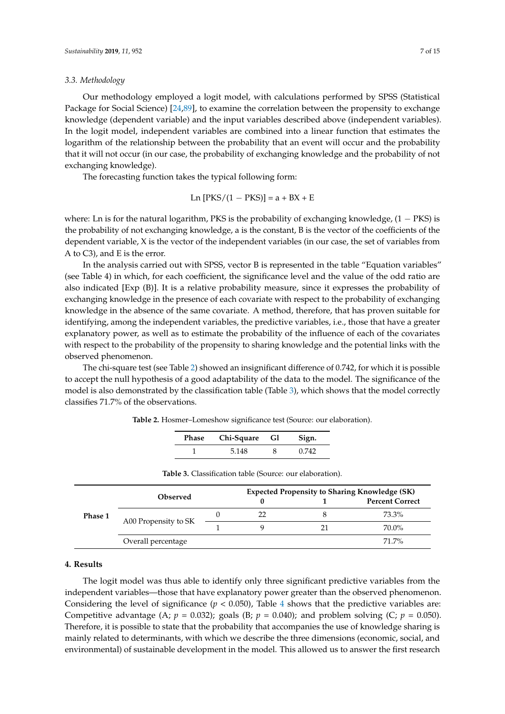#### *3.3. Methodology*

Our methodology employed a logit model, with calculations performed by SPSS (Statistical Package for Social Science) [\[24](#page-12-7)[,89\]](#page-14-18), to examine the correlation between the propensity to exchange knowledge (dependent variable) and the input variables described above (independent variables). In the logit model, independent variables are combined into a linear function that estimates the logarithm of the relationship between the probability that an event will occur and the probability that it will not occur (in our case, the probability of exchanging knowledge and the probability of not exchanging knowledge).

The forecasting function takes the typical following form:

$$
Ln [PKS/(1 - PKS)] = a + BX + E
$$

where: Ln is for the natural logarithm, PKS is the probability of exchanging knowledge,  $(1 - PKS)$  is the probability of not exchanging knowledge, a is the constant, B is the vector of the coefficients of the dependent variable, X is the vector of the independent variables (in our case, the set of variables from A to C3), and E is the error.

In the analysis carried out with SPSS, vector B is represented in the table "Equation variables" (see Table 4) in which, for each coefficient, the significance level and the value of the odd ratio are also indicated [Exp (B)]. It is a relative probability measure, since it expresses the probability of exchanging knowledge in the presence of each covariate with respect to the probability of exchanging knowledge in the absence of the same covariate. A method, therefore, that has proven suitable for identifying, among the independent variables, the predictive variables, i.e., those that have a greater explanatory power, as well as to estimate the probability of the influence of each of the covariates with respect to the probability of the propensity to sharing knowledge and the potential links with the observed phenomenon.

<span id="page-6-0"></span>The chi-square test (see Table [2\)](#page-6-0) showed an insignificant difference of 0.742, for which it is possible to accept the null hypothesis of a good adaptability of the data to the model. The significance of the model is also demonstrated by the classification table (Table [3\)](#page-6-1), which shows that the model correctly classifies 71.7% of the observations.

**Table 2.** Hosmer–Lomeshow significance test (Source: our elaboration).

| Phase Chi-Square Gl | Sign. |
|---------------------|-------|
| 5.148               | 0.742 |

<span id="page-6-1"></span>

| Phase 1 | <b>Observed</b>      |    | <b>Expected Propensity to Sharing Knowledge (SK)</b><br><b>Percent Correct</b> |       |
|---------|----------------------|----|--------------------------------------------------------------------------------|-------|
|         |                      | 22 |                                                                                | 73.3% |
|         | A00 Propensity to SK |    |                                                                                | 70.0% |
|         | Overall percentage   |    |                                                                                | 71.7% |

**Table 3.** Classification table (Source: our elaboration).

### <span id="page-6-2"></span>**4. Results**

The logit model was thus able to identify only three significant predictive variables from the independent variables—those that have explanatory power greater than the observed phenomenon. Considering the level of significance  $(p < 0.050)$ , Table [4](#page-7-0) shows that the predictive variables are: Competitive advantage (A;  $p = 0.032$ ); goals (B;  $p = 0.040$ ); and problem solving (C;  $p = 0.050$ ). Therefore, it is possible to state that the probability that accompanies the use of knowledge sharing is mainly related to determinants, with which we describe the three dimensions (economic, social, and environmental) of sustainable development in the model. This allowed us to answer the first research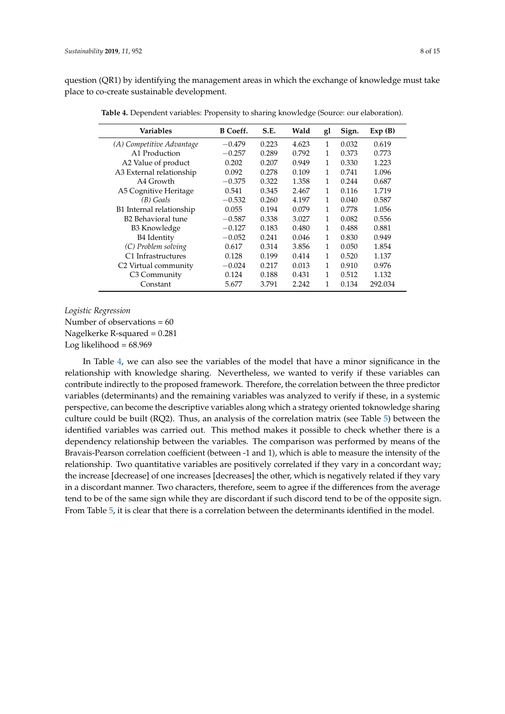<span id="page-7-0"></span>question (QR1) by identifying the management areas in which the exchange of knowledge must take place to co-create sustainable development.

| Variables                        | <b>B</b> Coeff. | S.E.  | Wald  | gl           | Sign. | Exp(B)  |
|----------------------------------|-----------------|-------|-------|--------------|-------|---------|
| (A) Competitive Advantage        | $-0.479$        | 0.223 | 4.623 | $\mathbf{1}$ | 0.032 | 0.619   |
| A1 Production                    | $-0.257$        | 0.289 | 0.792 | 1            | 0.373 | 0.773   |
| A2 Value of product              | 0.202           | 0.207 | 0.949 | $\mathbf{1}$ | 0.330 | 1.223   |
| A3 External relationship         | 0.092           | 0.278 | 0.109 | $\mathbf{1}$ | 0.741 | 1.096   |
| A4 Growth                        | $-0.375$        | 0.322 | 1.358 | 1            | 0.244 | 0.687   |
| A5 Cognitive Heritage            | 0.541           | 0.345 | 2.467 | 1            | 0.116 | 1.719   |
| (B) Goals                        | $-0.532$        | 0.260 | 4.197 | 1            | 0.040 | 0.587   |
| B1 Internal relationship         | 0.055           | 0.194 | 0.079 | 1            | 0.778 | 1.056   |
| B <sub>2</sub> Behavioral tune   | $-0.587$        | 0.338 | 3.027 | 1            | 0.082 | 0.556   |
| B <sub>3</sub> Knowledge         | $-0.127$        | 0.183 | 0.480 | $\mathbf{1}$ | 0.488 | 0.881   |
| <b>B4</b> Identity               | $-0.052$        | 0.241 | 0.046 | 1            | 0.830 | 0.949   |
| (C) Problem solving              | 0.617           | 0.314 | 3.856 | 1            | 0.050 | 1.854   |
| C1 Infrastructures               | 0.128           | 0.199 | 0.414 | 1            | 0.520 | 1.137   |
| C <sub>2</sub> Virtual community | $-0.024$        | 0.217 | 0.013 | 1            | 0.910 | 0.976   |
| C <sub>3</sub> Community         | 0.124           | 0.188 | 0.431 | 1            | 0.512 | 1.132   |
| Constant                         | 5.677           | 3.791 | 2.242 | 1            | 0.134 | 292.034 |

**Table 4.** Dependent variables: Propensity to sharing knowledge (Source: our elaboration).

*Logistic Regression*

Number of observations = 60 Nagelkerke R-squared = 0.281 Log likelihood  $= 68.969$ 

In Table [4,](#page-7-0) we can also see the variables of the model that have a minor significance in the relationship with knowledge sharing. Nevertheless, we wanted to verify if these variables can contribute indirectly to the proposed framework. Therefore, the correlation between the three predictor variables (determinants) and the remaining variables was analyzed to verify if these, in a systemic perspective, can become the descriptive variables along which a strategy oriented toknowledge sharing culture could be built (RQ2). Thus, an analysis of the correlation matrix (see Table [5\)](#page-8-0) between the identified variables was carried out. This method makes it possible to check whether there is a dependency relationship between the variables. The comparison was performed by means of the Bravais-Pearson correlation coefficient (between -1 and 1), which is able to measure the intensity of the relationship. Two quantitative variables are positively correlated if they vary in a concordant way; the increase [decrease] of one increases [decreases] the other, which is negatively related if they vary in a discordant manner. Two characters, therefore, seem to agree if the differences from the average tend to be of the same sign while they are discordant if such discord tend to be of the opposite sign. From Table [5,](#page-8-0) it is clear that there is a correlation between the determinants identified in the model.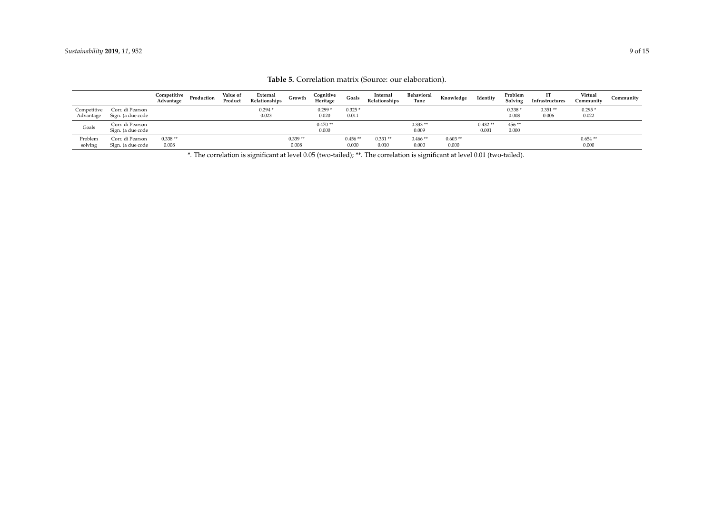|                          |                                       | Competitive<br>Advantage | Production | Value of<br>Product | External<br>Relationships | Growth             | Cognitive<br>Heritage | Goals              | Internal<br>Relationships | Behavioral<br>Tune | Knowledge          | Identity           | Problem<br>Solving | IT<br>Infrastructures | Virtual<br>Community | Community |
|--------------------------|---------------------------------------|--------------------------|------------|---------------------|---------------------------|--------------------|-----------------------|--------------------|---------------------------|--------------------|--------------------|--------------------|--------------------|-----------------------|----------------------|-----------|
| Competitive<br>Advantage | Corr. di Pearson<br>Sign. (a due code |                          |            |                     | $0.294*$<br>0.023         |                    | $0.299*$<br>0.020     | $0.325*$<br>0.011  |                           |                    |                    |                    | $0.338*$<br>0.008  | $0.351**$<br>0.006    | $0.295*$<br>0.022    |           |
| Goals                    | Corr. di Pearson<br>Sign. (a due code |                          |            |                     |                           |                    | $0.470**$<br>0.000    |                    |                           | $0.333**$<br>0.009 |                    | $0.432**$<br>0.001 | 456**<br>0.000     |                       |                      |           |
| Problem<br>solving       | Corr. di Pearson<br>Sign. (a due code | $0.338**$<br>0.008       |            |                     |                           | $0.339**$<br>0.008 |                       | $0.456**$<br>0.000 | $0.331**$<br>0.010        | $0.466**$<br>0.000 | $0.603**$<br>0.000 |                    |                    |                       | $0.654**$<br>0.000   |           |

# **Table 5.** Correlation matrix (Source: our elaboration).

<span id="page-8-0"></span>\*. The correlation is significant at level 0.05 (two-tailed); \*\*. The correlation is significant at level 0.01 (two-tailed).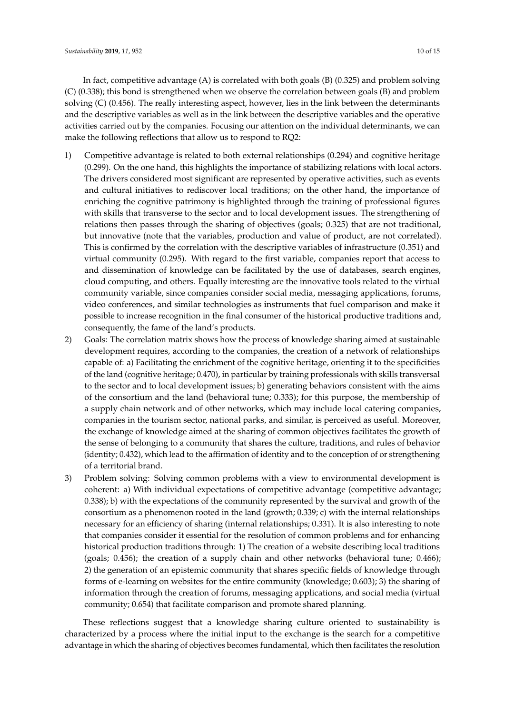In fact, competitive advantage (A) is correlated with both goals (B) (0.325) and problem solving (C) (0.338); this bond is strengthened when we observe the correlation between goals (B) and problem solving (C) (0.456). The really interesting aspect, however, lies in the link between the determinants and the descriptive variables as well as in the link between the descriptive variables and the operative activities carried out by the companies. Focusing our attention on the individual determinants, we can make the following reflections that allow us to respond to RQ2:

- 1) Competitive advantage is related to both external relationships (0.294) and cognitive heritage (0.299). On the one hand, this highlights the importance of stabilizing relations with local actors. The drivers considered most significant are represented by operative activities, such as events and cultural initiatives to rediscover local traditions; on the other hand, the importance of enriching the cognitive patrimony is highlighted through the training of professional figures with skills that transverse to the sector and to local development issues. The strengthening of relations then passes through the sharing of objectives (goals; 0.325) that are not traditional, but innovative (note that the variables, production and value of product, are not correlated). This is confirmed by the correlation with the descriptive variables of infrastructure (0.351) and virtual community (0.295). With regard to the first variable, companies report that access to and dissemination of knowledge can be facilitated by the use of databases, search engines, cloud computing, and others. Equally interesting are the innovative tools related to the virtual community variable, since companies consider social media, messaging applications, forums, video conferences, and similar technologies as instruments that fuel comparison and make it possible to increase recognition in the final consumer of the historical productive traditions and, consequently, the fame of the land's products.
- 2) Goals: The correlation matrix shows how the process of knowledge sharing aimed at sustainable development requires, according to the companies, the creation of a network of relationships capable of: a) Facilitating the enrichment of the cognitive heritage, orienting it to the specificities of the land (cognitive heritage; 0.470), in particular by training professionals with skills transversal to the sector and to local development issues; b) generating behaviors consistent with the aims of the consortium and the land (behavioral tune; 0.333); for this purpose, the membership of a supply chain network and of other networks, which may include local catering companies, companies in the tourism sector, national parks, and similar, is perceived as useful. Moreover, the exchange of knowledge aimed at the sharing of common objectives facilitates the growth of the sense of belonging to a community that shares the culture, traditions, and rules of behavior (identity; 0.432), which lead to the affirmation of identity and to the conception of or strengthening of a territorial brand.
- 3) Problem solving: Solving common problems with a view to environmental development is coherent: a) With individual expectations of competitive advantage (competitive advantage; 0.338); b) with the expectations of the community represented by the survival and growth of the consortium as a phenomenon rooted in the land (growth; 0.339; c) with the internal relationships necessary for an efficiency of sharing (internal relationships; 0.331). It is also interesting to note that companies consider it essential for the resolution of common problems and for enhancing historical production traditions through: 1) The creation of a website describing local traditions (goals; 0.456); the creation of a supply chain and other networks (behavioral tune; 0.466); 2) the generation of an epistemic community that shares specific fields of knowledge through forms of e-learning on websites for the entire community (knowledge; 0.603); 3) the sharing of information through the creation of forums, messaging applications, and social media (virtual community; 0.654) that facilitate comparison and promote shared planning.

These reflections suggest that a knowledge sharing culture oriented to sustainability is characterized by a process where the initial input to the exchange is the search for a competitive advantage in which the sharing of objectives becomes fundamental, which then facilitates the resolution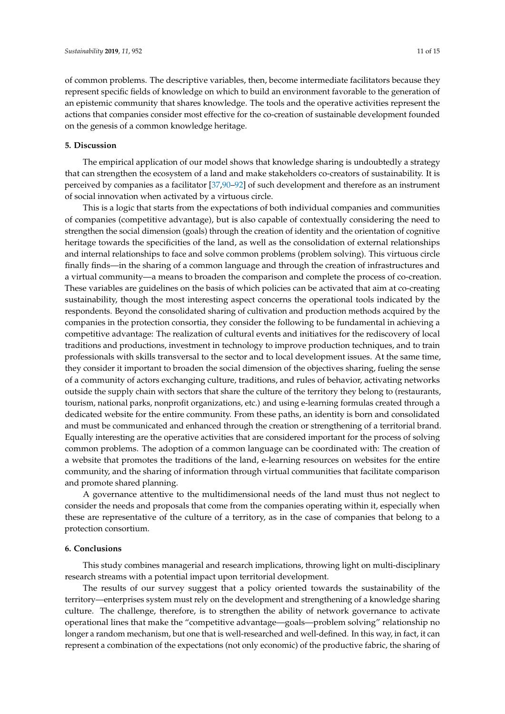of common problems. The descriptive variables, then, become intermediate facilitators because they represent specific fields of knowledge on which to build an environment favorable to the generation of an epistemic community that shares knowledge. The tools and the operative activities represent the actions that companies consider most effective for the co-creation of sustainable development founded on the genesis of a common knowledge heritage.

#### <span id="page-10-0"></span>**5. Discussion**

The empirical application of our model shows that knowledge sharing is undoubtedly a strategy that can strengthen the ecosystem of a land and make stakeholders co-creators of sustainability. It is perceived by companies as a facilitator [\[37,](#page-12-19)[90–](#page-14-19)[92\]](#page-14-20) of such development and therefore as an instrument of social innovation when activated by a virtuous circle.

This is a logic that starts from the expectations of both individual companies and communities of companies (competitive advantage), but is also capable of contextually considering the need to strengthen the social dimension (goals) through the creation of identity and the orientation of cognitive heritage towards the specificities of the land, as well as the consolidation of external relationships and internal relationships to face and solve common problems (problem solving). This virtuous circle finally finds—in the sharing of a common language and through the creation of infrastructures and a virtual community—a means to broaden the comparison and complete the process of co-creation. These variables are guidelines on the basis of which policies can be activated that aim at co-creating sustainability, though the most interesting aspect concerns the operational tools indicated by the respondents. Beyond the consolidated sharing of cultivation and production methods acquired by the companies in the protection consortia, they consider the following to be fundamental in achieving a competitive advantage: The realization of cultural events and initiatives for the rediscovery of local traditions and productions, investment in technology to improve production techniques, and to train professionals with skills transversal to the sector and to local development issues. At the same time, they consider it important to broaden the social dimension of the objectives sharing, fueling the sense of a community of actors exchanging culture, traditions, and rules of behavior, activating networks outside the supply chain with sectors that share the culture of the territory they belong to (restaurants, tourism, national parks, nonprofit organizations, etc.) and using e-learning formulas created through a dedicated website for the entire community. From these paths, an identity is born and consolidated and must be communicated and enhanced through the creation or strengthening of a territorial brand. Equally interesting are the operative activities that are considered important for the process of solving common problems. The adoption of a common language can be coordinated with: The creation of a website that promotes the traditions of the land, e-learning resources on websites for the entire community, and the sharing of information through virtual communities that facilitate comparison and promote shared planning.

A governance attentive to the multidimensional needs of the land must thus not neglect to consider the needs and proposals that come from the companies operating within it, especially when these are representative of the culture of a territory, as in the case of companies that belong to a protection consortium.

#### <span id="page-10-1"></span>**6. Conclusions**

This study combines managerial and research implications, throwing light on multi-disciplinary research streams with a potential impact upon territorial development.

The results of our survey suggest that a policy oriented towards the sustainability of the territory—enterprises system must rely on the development and strengthening of a knowledge sharing culture. The challenge, therefore, is to strengthen the ability of network governance to activate operational lines that make the "competitive advantage—goals—problem solving" relationship no longer a random mechanism, but one that is well-researched and well-defined. In this way, in fact, it can represent a combination of the expectations (not only economic) of the productive fabric, the sharing of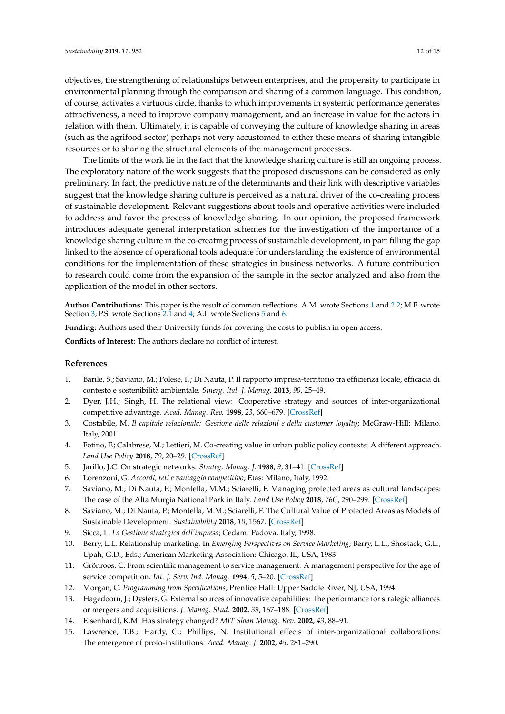objectives, the strengthening of relationships between enterprises, and the propensity to participate in environmental planning through the comparison and sharing of a common language. This condition, of course, activates a virtuous circle, thanks to which improvements in systemic performance generates attractiveness, a need to improve company management, and an increase in value for the actors in relation with them. Ultimately, it is capable of conveying the culture of knowledge sharing in areas (such as the agrifood sector) perhaps not very accustomed to either these means of sharing intangible resources or to sharing the structural elements of the management processes.

The limits of the work lie in the fact that the knowledge sharing culture is still an ongoing process. The exploratory nature of the work suggests that the proposed discussions can be considered as only preliminary. In fact, the predictive nature of the determinants and their link with descriptive variables suggest that the knowledge sharing culture is perceived as a natural driver of the co-creating process of sustainable development. Relevant suggestions about tools and operative activities were included to address and favor the process of knowledge sharing. In our opinion, the proposed framework introduces adequate general interpretation schemes for the investigation of the importance of a knowledge sharing culture in the co-creating process of sustainable development, in part filling the gap linked to the absence of operational tools adequate for understanding the existence of environmental conditions for the implementation of these strategies in business networks. A future contribution to research could come from the expansion of the sample in the sector analyzed and also from the application of the model in other sectors.

**Author Contributions:** This paper is the result of common reflections. A.M. wrote Sections [1](#page-0-0) and [2.2;](#page-2-0) M.F. wrote Section [3;](#page-3-0) P.S. wrote Sections [2.1](#page-2-1) and [4;](#page-6-2) A.I. wrote Sections [5](#page-10-0) and [6.](#page-10-1)

**Funding:** Authors used their University funds for covering the costs to publish in open access.

**Conflicts of Interest:** The authors declare no conflict of interest.

#### **References**

- <span id="page-11-0"></span>1. Barile, S.; Saviano, M.; Polese, F.; Di Nauta, P. Il rapporto impresa-territorio tra efficienza locale, efficacia di contesto e sostenibilità ambientale. *Sinerg. Ital. J. Manag.* **2013**, *90*, 25–49.
- 2. Dyer, J.H.; Singh, H. The relational view: Cooperative strategy and sources of inter-organizational competitive advantage. *Acad. Manag. Rev.* **1998**, *23*, 660–679. [\[CrossRef\]](http://dx.doi.org/10.5465/amr.1998.1255632)
- <span id="page-11-1"></span>3. Costabile, M. *Il capitale relazionale: Gestione delle relazioni e della customer loyalty*; McGraw-Hill: Milano, Italy, 2001.
- <span id="page-11-2"></span>4. Fotino, F.; Calabrese, M.; Lettieri, M. Co-creating value in urban public policy contexts: A different approach. *Land Use Policy* **2018**, *79*, 20–29. [\[CrossRef\]](http://dx.doi.org/10.1016/j.landusepol.2018.06.010)
- 5. Jarillo, J.C. On strategic networks. *Strateg. Manag. J.* **1988**, *9*, 31–41. [\[CrossRef\]](http://dx.doi.org/10.1002/smj.4250090104)
- 6. Lorenzoni, G. *Accordi, reti e vantaggio competitivo*; Etas: Milano, Italy, 1992.
- 7. Saviano, M.; Di Nauta, P.; Montella, M.M.; Sciarelli, F. Managing protected areas as cultural landscapes: The case of the Alta Murgia National Park in Italy. *Land Use Policy* **2018**, *76C*, 290–299. [\[CrossRef\]](http://dx.doi.org/10.1016/j.landusepol.2018.03.052)
- 8. Saviano, M.; Di Nauta, P.; Montella, M.M.; Sciarelli, F. The Cultural Value of Protected Areas as Models of Sustainable Development. *Sustainability* **2018**, *10*, 1567. [\[CrossRef\]](http://dx.doi.org/10.3390/su10051567)
- <span id="page-11-3"></span>9. Sicca, L. *La Gestione strategica dell'impresa*; Cedam: Padova, Italy, 1998.
- <span id="page-11-4"></span>10. Berry, L.L. Relationship marketing. In *Emerging Perspectives on Service Marketing*; Berry, L.L., Shostack, G.L., Upah, G.D., Eds.; American Marketing Association: Chicago, IL, USA, 1983.
- 11. Grönroos, C. From scientific management to service management: A management perspective for the age of service competition. *Int. J. Serv. Ind. Manag.* **1994**, *5*, 5–20. [\[CrossRef\]](http://dx.doi.org/10.1108/09564239410051885)
- <span id="page-11-5"></span>12. Morgan, C. *Programming from Specifications*; Prentice Hall: Upper Saddle River, NJ, USA, 1994.
- <span id="page-11-6"></span>13. Hagedoorn, J.; Dysters, G. External sources of innovative capabilities: The performance for strategic alliances or mergers and acquisitions. *J. Manag. Stud.* **2002**, *39*, 167–188. [\[CrossRef\]](http://dx.doi.org/10.1111/1467-6486.00287)
- 14. Eisenhardt, K.M. Has strategy changed? *MIT Sloan Manag. Rev.* **2002**, *43*, 88–91.
- 15. Lawrence, T.B.; Hardy, C.; Phillips, N. Institutional effects of inter-organizational collaborations: The emergence of proto-institutions. *Acad. Manag. J.* **2002**, *45*, 281–290.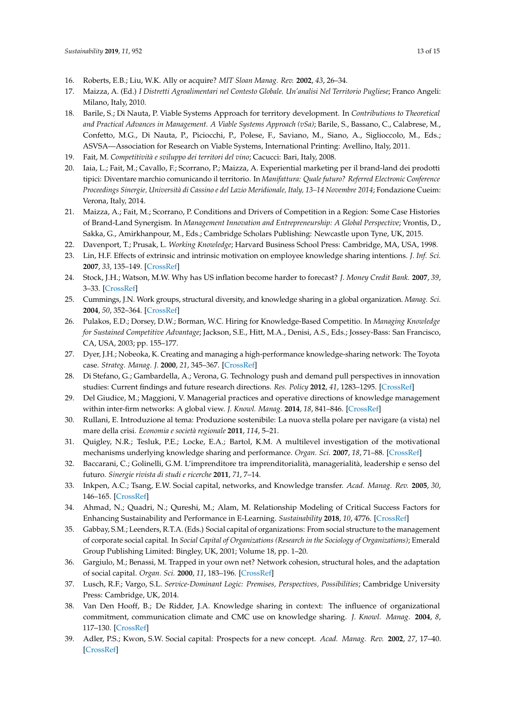- <span id="page-12-0"></span>16. Roberts, E.B.; Liu, W.K. Ally or acquire? *MIT Sloan Manag. Rev.* **2002**, *43*, 26–34.
- <span id="page-12-1"></span>17. Maizza, A. (Ed.) *I Distretti Agroalimentari nel Contesto Globale. Un'analisi Nel Territorio Pugliese*; Franco Angeli: Milano, Italy, 2010.
- <span id="page-12-2"></span>18. Barile, S.; Di Nauta, P. Viable Systems Approach for territory development. In *Contributions to Theoretical and Practical Advances in Management. A Viable Systems Approach (vSa)*; Barile, S., Bassano, C., Calabrese, M., Confetto, M.G., Di Nauta, P., Piciocchi, P., Polese, F., Saviano, M., Siano, A., Siglioccolo, M., Eds.; ASVSA—Association for Research on Viable Systems, International Printing: Avellino, Italy, 2011.
- <span id="page-12-17"></span><span id="page-12-3"></span>19. Fait, M. *Competitività e sviluppo dei territori del vino*; Cacucci: Bari, Italy, 2008.
- 20. Iaia, L.; Fait, M.; Cavallo, F.; Scorrano, P.; Maizza, A. Experiential marketing per il brand-land dei prodotti tipici: Diventare marchio comunicando il territorio. In *Manifattura: Quale futuro? Referred Electronic Conference Proceedings Sinergie, Università di Cassino e del Lazio Meridionale, Italy, 13–14 Novembre 2014*; Fondazione Cueim: Verona, Italy, 2014.
- <span id="page-12-4"></span>21. Maizza, A.; Fait, M.; Scorrano, P. Conditions and Drivers of Competition in a Region: Some Case Histories of Brand-Land Synergism. In *Management Innovation and Entrepreneurship: A Global Perspective*; Vrontis, D., Sakka, G., Amirkhanpour, M., Eds.; Cambridge Scholars Publishing: Newcastle upon Tyne, UK, 2015.
- <span id="page-12-5"></span>22. Davenport, T.; Prusak, L. *Working Knowledge*; Harvard Business School Press: Cambridge, MA, USA, 1998.
- <span id="page-12-6"></span>23. Lin, H.F. Effects of extrinsic and intrinsic motivation on employee knowledge sharing intentions. *J. Inf. Sci.* **2007**, *33*, 135–149. [\[CrossRef\]](http://dx.doi.org/10.1177/0165551506068174)
- <span id="page-12-7"></span>24. Stock, J.H.; Watson, M.W. Why has US inflation become harder to forecast? *J. Money Credit Bank.* **2007**, *39*, 3–33. [\[CrossRef\]](http://dx.doi.org/10.1111/j.1538-4616.2007.00014.x)
- <span id="page-12-8"></span>25. Cummings, J.N. Work groups, structural diversity, and knowledge sharing in a global organization. *Manag. Sci.* **2004**, *50*, 352–364. [\[CrossRef\]](http://dx.doi.org/10.1287/mnsc.1030.0134)
- <span id="page-12-9"></span>26. Pulakos, E.D.; Dorsey, D.W.; Borman, W.C. Hiring for Knowledge-Based Competitio. In *Managing Knowledge for Sustained Competitive Advantage*; Jackson, S.E., Hitt, M.A., Denisi, A.S., Eds.; Jossey-Bass: San Francisco, CA, USA, 2003; pp. 155–177.
- <span id="page-12-10"></span>27. Dyer, J.H.; Nobeoka, K. Creating and managing a high-performance knowledge-sharing network: The Toyota case. *Strateg. Manag. J.* **2000**, *21*, 345–367. [\[CrossRef\]](http://dx.doi.org/10.1002/(SICI)1097-0266(200003)21:3<345::AID-SMJ96>3.0.CO;2-N)
- <span id="page-12-11"></span>28. Di Stefano, G.; Gambardella, A.; Verona, G. Technology push and demand pull perspectives in innovation studies: Current findings and future research directions. *Res. Policy* **2012**, *41*, 1283–1295. [\[CrossRef\]](http://dx.doi.org/10.1016/j.respol.2012.03.021)
- <span id="page-12-12"></span>29. Del Giudice, M.; Maggioni, V. Managerial practices and operative directions of knowledge management within inter-firm networks: A global view. *J. Knowl. Manag.* **2014**, *18*, 841–846. [\[CrossRef\]](http://dx.doi.org/10.1108/JKM-06-2014-0264)
- <span id="page-12-13"></span>30. Rullani, E. Introduzione al tema: Produzione sostenibile: La nuova stella polare per navigare (a vista) nel mare della crisi. *Economia e società regionale* **2011**, *114*, 5–21.
- <span id="page-12-14"></span>31. Quigley, N.R.; Tesluk, P.E.; Locke, E.A.; Bartol, K.M. A multilevel investigation of the motivational mechanisms underlying knowledge sharing and performance. *Organ. Sci.* **2007**, *18*, 71–88. [\[CrossRef\]](http://dx.doi.org/10.1287/orsc.1060.0223)
- <span id="page-12-15"></span>32. Baccarani, C.; Golinelli, G.M. L'imprenditore tra imprenditorialità, managerialità, leadership e senso del futuro. *Sinergie rivista di studi e ricerche* **2011**, *71*, 7–14.
- <span id="page-12-16"></span>33. Inkpen, A.C.; Tsang, E.W. Social capital, networks, and Knowledge transfer. *Acad. Manag. Rev.* **2005**, *30*, 146–165. [\[CrossRef\]](http://dx.doi.org/10.5465/amr.2005.15281445)
- <span id="page-12-18"></span>34. Ahmad, N.; Quadri, N.; Qureshi, M.; Alam, M. Relationship Modeling of Critical Success Factors for Enhancing Sustainability and Performance in E-Learning. *Sustainability* **2018**, *10*, 4776. [\[CrossRef\]](http://dx.doi.org/10.3390/su10124776)
- <span id="page-12-23"></span>35. Gabbay, S.M.; Leenders, R.T.A. (Eds.) Social capital of organizations: From social structure to the management of corporate social capital. In *Social Capital of Organizations (Research in the Sociology of Organizations)*; Emerald Group Publishing Limited: Bingley, UK, 2001; Volume 18, pp. 1–20.
- <span id="page-12-21"></span>36. Gargiulo, M.; Benassi, M. Trapped in your own net? Network cohesion, structural holes, and the adaptation of social capital. *Organ. Sci.* **2000**, *11*, 183–196. [\[CrossRef\]](http://dx.doi.org/10.1287/orsc.11.2.183.12514)
- <span id="page-12-19"></span>37. Lusch, R.F.; Vargo, S.L. *Service-Dominant Logic: Premises, Perspectives, Possibilities*; Cambridge University Press: Cambridge, UK, 2014.
- <span id="page-12-20"></span>38. Van Den Hooff, B.; De Ridder, J.A. Knowledge sharing in context: The influence of organizational commitment, communication climate and CMC use on knowledge sharing. *J. Knowl. Manag.* **2004**, *8*, 117–130. [\[CrossRef\]](http://dx.doi.org/10.1108/13673270410567675)
- <span id="page-12-22"></span>39. Adler, P.S.; Kwon, S.W. Social capital: Prospects for a new concept. *Acad. Manag. Rev.* **2002**, *27*, 17–40. [\[CrossRef\]](http://dx.doi.org/10.5465/amr.2002.5922314)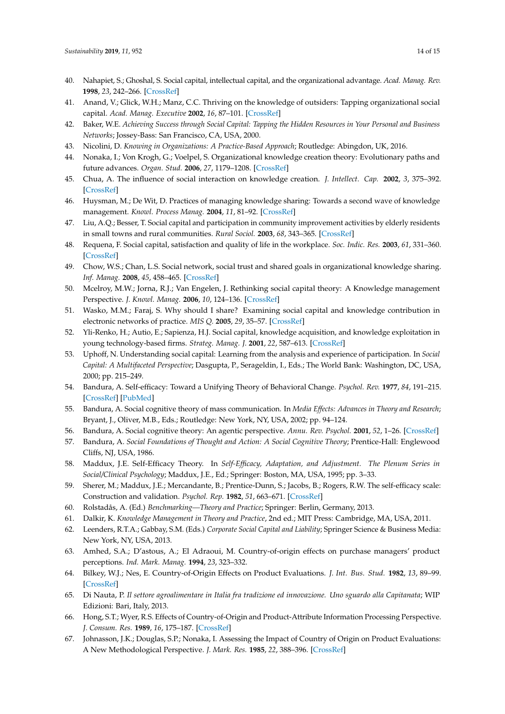- <span id="page-13-0"></span>40. Nahapiet, S.; Ghoshal, S. Social capital, intellectual capital, and the organizational advantage. *Acad. Manag. Rev.* **1998**, *23*, 242–266. [\[CrossRef\]](http://dx.doi.org/10.5465/amr.1998.533225)
- <span id="page-13-1"></span>41. Anand, V.; Glick, W.H.; Manz, C.C. Thriving on the knowledge of outsiders: Tapping organizational social capital. *Acad. Manag. Executive* **2002**, *16*, 87–101. [\[CrossRef\]](http://dx.doi.org/10.5465/ame.2002.6640198)
- <span id="page-13-2"></span>42. Baker, W.E. *Achieving Success through Social Capital: Tapping the Hidden Resources in Your Personal and Business Networks*; Jossey-Bass: San Francisco, CA, USA, 2000.
- <span id="page-13-3"></span>43. Nicolini, D. *Knowing in Organizations: A Practice-Based Approach*; Routledge: Abingdon, UK, 2016.
- <span id="page-13-4"></span>44. Nonaka, I.; Von Krogh, G.; Voelpel, S. Organizational knowledge creation theory: Evolutionary paths and future advances. *Organ. Stud.* **2006**, *27*, 1179–1208. [\[CrossRef\]](http://dx.doi.org/10.1177/0170840606066312)
- <span id="page-13-5"></span>45. Chua, A. The influence of social interaction on knowledge creation. *J. Intellect. Cap.* **2002**, *3*, 375–392. [\[CrossRef\]](http://dx.doi.org/10.1108/14691930210448297)
- 46. Huysman, M.; De Wit, D. Practices of managing knowledge sharing: Towards a second wave of knowledge management. *Knowl. Process Manag.* **2004**, *11*, 81–92. [\[CrossRef\]](http://dx.doi.org/10.1002/kpm.192)
- 47. Liu, A.Q.; Besser, T. Social capital and participation in community improvement activities by elderly residents in small towns and rural communities. *Rural Sociol.* **2003**, *68*, 343–365. [\[CrossRef\]](http://dx.doi.org/10.1111/j.1549-0831.2003.tb00141.x)
- <span id="page-13-6"></span>48. Requena, F. Social capital, satisfaction and quality of life in the workplace. *Soc. Indic. Res.* **2003**, *61*, 331–360. [\[CrossRef\]](http://dx.doi.org/10.1023/A:1021923520951)
- <span id="page-13-7"></span>49. Chow, W.S.; Chan, L.S. Social network, social trust and shared goals in organizational knowledge sharing. *Inf. Manag.* **2008**, *45*, 458–465. [\[CrossRef\]](http://dx.doi.org/10.1016/j.im.2008.06.007)
- 50. Mcelroy, M.W.; Jorna, R.J.; Van Engelen, J. Rethinking social capital theory: A Knowledge management Perspective. *J. Knowl. Manag.* **2006**, *10*, 124–136. [\[CrossRef\]](http://dx.doi.org/10.1108/13673270610691233)
- <span id="page-13-17"></span>51. Wasko, M.M.; Faraj, S. Why should I share? Examining social capital and knowledge contribution in electronic networks of practice. *MIS Q.* **2005**, *29*, 35–57. [\[CrossRef\]](http://dx.doi.org/10.2307/25148667)
- <span id="page-13-8"></span>52. Yli-Renko, H.; Autio, E.; Sapienza, H.J. Social capital, knowledge acquisition, and knowledge exploitation in young technology-based firms. *Strateg. Manag. J.* **2001**, *22*, 587–613. [\[CrossRef\]](http://dx.doi.org/10.1002/smj.183)
- <span id="page-13-9"></span>53. Uphoff, N. Understanding social capital: Learning from the analysis and experience of participation. In *Social Capital: A Multifaceted Perspective*; Dasgupta, P., Serageldin, I., Eds.; The World Bank: Washington, DC, USA, 2000; pp. 215–249.
- <span id="page-13-10"></span>54. Bandura, A. Self-efficacy: Toward a Unifying Theory of Behavioral Change. *Psychol. Rev.* **1977**, *84*, 191–215. [\[CrossRef\]](http://dx.doi.org/10.1037/0033-295X.84.2.191) [\[PubMed\]](http://www.ncbi.nlm.nih.gov/pubmed/847061)
- 55. Bandura, A. Social cognitive theory of mass communication. In *Media Effects: Advances in Theory and Research*; Bryant, J., Oliver, M.B., Eds.; Routledge: New York, NY, USA, 2002; pp. 94–124.
- <span id="page-13-16"></span>56. Bandura, A. Social cognitive theory: An agentic perspective. *Annu. Rev. Psychol.* **2001**, *52*, 1–26. [\[CrossRef\]](http://dx.doi.org/10.1146/annurev.psych.52.1.1)
- 57. Bandura, A. *Social Foundations of Thought and Action: A Social Cognitive Theory*; Prentice-Hall: Englewood Cliffs, NJ, USA, 1986.
- 58. Maddux, J.E. Self-Efficacy Theory. In *Self-Efficacy, Adaptation, and Adjustment. The Plenum Series in Social/Clinical Psychology*; Maddux, J.E., Ed.; Springer: Boston, MA, USA, 1995; pp. 3–33.
- <span id="page-13-11"></span>59. Sherer, M.; Maddux, J.E.; Mercandante, B.; Prentice-Dunn, S.; Jacobs, B.; Rogers, R.W. The self-efficacy scale: Construction and validation. *Psychol. Rep.* **1982**, *51*, 663–671. [\[CrossRef\]](http://dx.doi.org/10.2466/pr0.1982.51.2.663)
- <span id="page-13-12"></span>60. Rolstadås, A. (Ed.) *Benchmarking—Theory and Practice*; Springer: Berlin, Germany, 2013.
- <span id="page-13-14"></span><span id="page-13-13"></span>61. Dalkir, K. *Knowledge Management in Theory and Practice*, 2nd ed.; MIT Press: Cambridge, MA, USA, 2011.
- 62. Leenders, R.T.A.; Gabbay, S.M. (Eds.) *Corporate Social Capital and Liability*; Springer Science & Business Media: New York, NY, USA, 2013.
- <span id="page-13-15"></span>63. Amhed, S.A.; D'astous, A.; El Adraoui, M. Country-of-origin effects on purchase managers' product perceptions. *Ind. Mark. Manag.* **1994**, *23*, 323–332.
- 64. Bilkey, W.J.; Nes, E. Country-of-Origin Effects on Product Evaluations. *J. Int. Bus. Stud.* **1982**, *13*, 89–99. [\[CrossRef\]](http://dx.doi.org/10.1057/palgrave.jibs.8490539)
- 65. Di Nauta, P. *Il settore agroalimentare in Italia fra tradizione ed innovazione. Uno sguardo alla Capitanata*; WIP Edizioni: Bari, Italy, 2013.
- 66. Hong, S.T.; Wyer, R.S. Effects of Country-of-Origin and Product-Attribute Information Processing Perspective. *J. Consum. Res.* **1989**, *16*, 175–187. [\[CrossRef\]](http://dx.doi.org/10.1086/209206)
- 67. Johnasson, J.K.; Douglas, S.P.; Nonaka, I. Assessing the Impact of Country of Origin on Product Evaluations: A New Methodological Perspective. *J. Mark. Res.* **1985**, *22*, 388–396. [\[CrossRef\]](http://dx.doi.org/10.1177/002224378502200404)